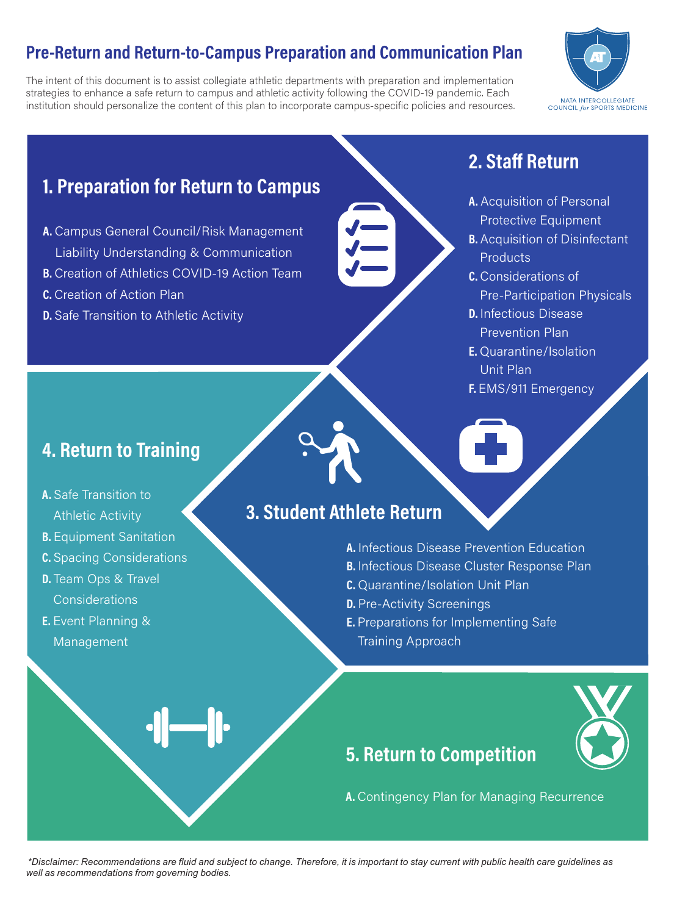# Pre-Return and Return-to-Campus Preparation and Communication Plan

The intent of this document is to assist collegiate athletic departments with preparation and implementation strategies to enhance a safe return to campus and athletic activity following the COVID-19 pandemic. Each institution should personalize the content of this plan to incorporate campus-specific policies and resources.



# 1. Preparation for Return to Campus

- A. Campus General Council/Risk Management **Liability Understanding & Communication**
- B. Creation of Athletics COVID-19 Action Team
- C. Creation of Action Plan
- **D.** Safe Transition to Athletic Activity

# 2. Staff Return

- A. Acquisition of Personal Protective Equipment
- **B.** Acquisition of Disinfectant **Products**
- **C.** Considerations of **Pre-Participation Physicals**
- **D.** Infectious Disease **Prevention Plan**
- **E.** Quarantine/Isolation Unit Plan
- F. EMS/911 Emergency

## **4. Return to Training**

- A. Safe Transition to **Athletic Activity**
- **B.** Equipment Sanitation
- **C.** Spacing Considerations
- **D.** Team Ops & Travel Considerations
- **E.** Event Planning & Management

## 3. Student Athlete Return

- A. Infectious Disease Prevention Education
- **B.** Infectious Disease Cluster Response Plan
- **C.** Quarantine/Isolation Unit Plan
- **D.** Pre-Activity Screenings
- **E.** Preparations for Implementing Safe **Training Approach**



## **5. Return to Competition**

A. Contingency Plan for Managing Recurrence

*\*Disclaimer: Recommendations are fluid and subject to change. Therefore, it is important to stay current with public health care guidelines as well as recommendations from governing bodies.*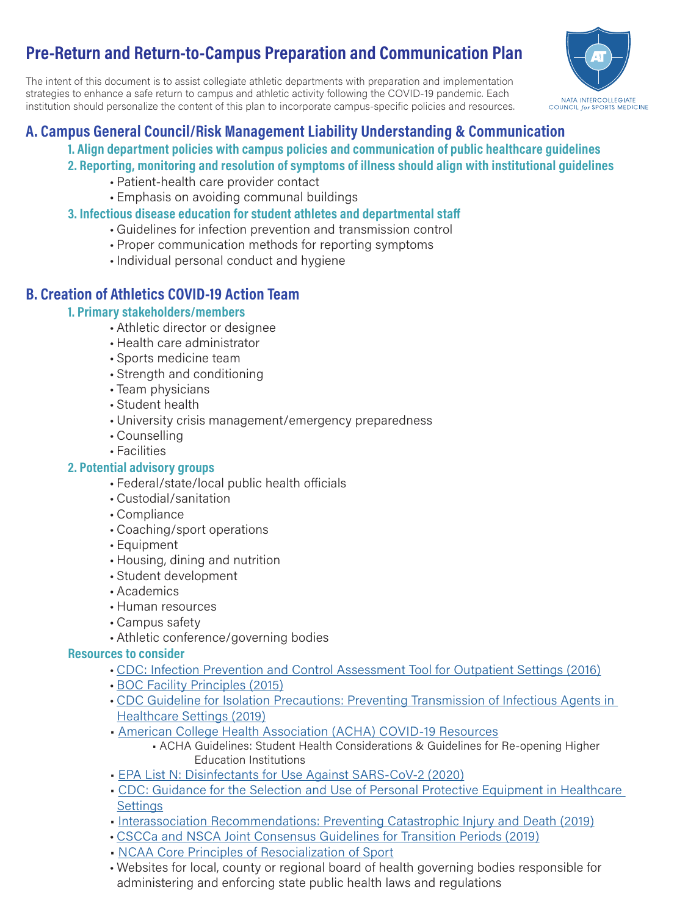# **Pre-Return and Return-to-Campus Preparation and Communication Plan**

The intent of this document is to assist collegiate athletic departments with preparation and implementation strategies to enhance a safe return to campus and athletic activity following the COVID-19 pandemic. Each institution should personalize the content of this plan to incorporate campus-specific policies and resources.



### A. Campus General Council/Risk Management Liability Understanding & Communication

### 1. Align department policies with campus policies and communication of public healthcare guidelines

- 2. Reporting, monitoring and resolution of symptoms of illness should align with institutional quidelines
	- Patient-health care provider contact
	- Emphasis on avoiding communal buildings
- 3. Infectious disease education for student athletes and departmental staff
	- Guidelines for infection prevention and transmission control
	- Proper communication methods for reporting symptoms
	- · Individual personal conduct and hygiene

### **B. Creation of Athletics COVID-19 Action Team**

### 1. Primary stakeholders/members

- Athletic director or designee
- · Health care administrator
- Sports medicine team
- Strength and conditioning
- Team physicians
- Student health
- University crisis management/emergency preparedness
- Counselling
- Facilities

### 2. Potential advisory groups

- Federal/state/local public health officials
- Custodial/sanitation
- Compliance
- Coaching/sport operations
- Equipment
- Housing, dining and nutrition
- · Student development
- Academics
- · Human resources
- Campus safety
- Athletic conference/governing bodies

### **Resources to consider**

- CDC: Infection Prevention and Control Assessment Tool for Outpatient Settings (2016)
- BOC Facility Principles (2015)
- . CDC Guideline for Isolation Precautions: Preventing Transmission of Infectious Agents in Healthcare Settings (2019)
- American College Health Association (ACHA) COVID-19 Resources
	- ACHA Guidelines: Student Health Considerations & Guidelines for Re-opening Higher Education Institutions
- EPA List N: Disinfectants for Use Against SARS-CoV-2 (2020)
- . CDC: Guidance for the Selection and Use of Personal Protective Equipment in Healthcare **Settinas**
- Interassociation Recommendations: Preventing Catastrophic Injury and Death (2019)
- . CSCCa and NSCA Joint Consensus Guidelines for Transition Periods (2019)
- NCAA Core Principles of Resocialization of Sport
- . Websites for local, county or regional board of health governing bodies responsible for administering and enforcing state public health laws and regulations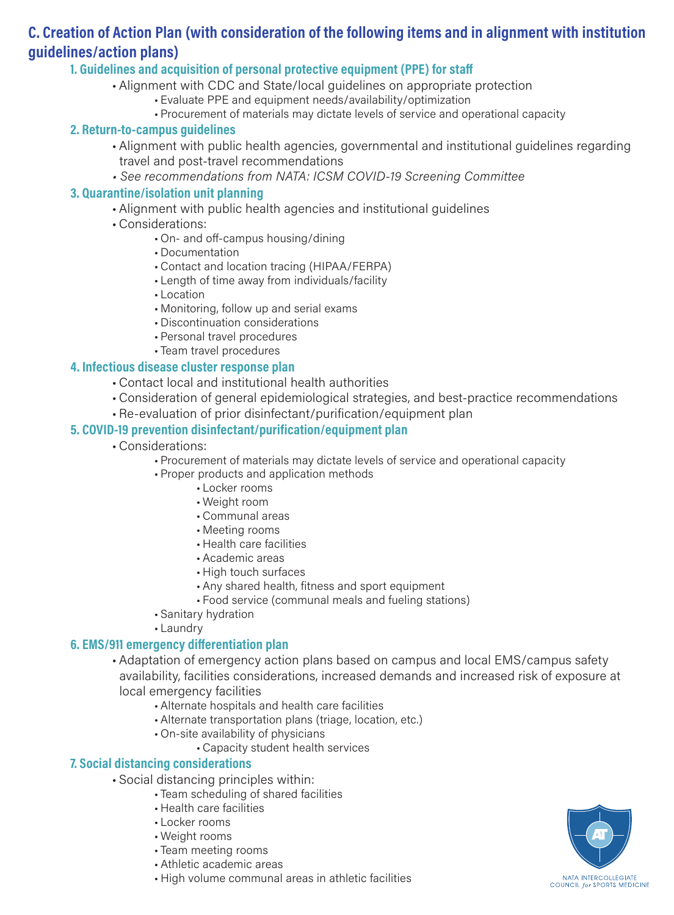### C. Creation of Action Plan (with consideration of the following items and in alignment with institution guidelines/action plans)

#### 1. Guidelines and acquisition of personal protective equipment (PPE) for staff

- Alignment with CDC and State/local quidelines on appropriate protection
	- Evaluate PPE and equipment needs/availability/optimization
	- Procurement of materials may dictate levels of service and operational capacity

#### 2. Return-to-campus quidelines

- Alignment with public health agencies, governmental and institutional guidelines regarding travel and post-travel recommendations
- See recommendations from NATA: ICSM COVID-19 Screening Committee

#### 3. Quarantine/isolation unit planning

- Alignment with public health agencies and institutional quidelines
- Considerations:
	- On- and off-campus housing/dining
	- Documentation
	- Contact and location tracing (HIPAA/FERPA)
	- Length of time away from individuals/facility
	- Location
	- Monitoring, follow up and serial exams
	- Discontinuation considerations
	- Personal travel procedures
	- Team travel procedures

#### 4. Infectious disease cluster response plan

- Contact local and institutional health authorities
- Consideration of general epidemiological strategies, and best-practice recommendations
- . Re-evaluation of prior disinfectant/purification/equipment plan

#### 5. COVID-19 prevention disinfectant/purification/equipment plan

- Considerations:
	- Procurement of materials may dictate levels of service and operational capacity
	- Proper products and application methods
		- Locker rooms
		- Weight room
		- Communal areas
		- Meeting rooms
		- Health care facilities
		- Academic areas
		- High touch surfaces
		- Any shared health, fitness and sport equipment
		- Food service (communal meals and fueling stations)
	- Sanitary hydration
	- Laundry

#### 6. EMS/911 emergency differentiation plan

• Adaptation of emergency action plans based on campus and local EMS/campus safety availability, facilities considerations, increased demands and increased risk of exposure at local emergency facilities

- Alternate hospitals and health care facilities
- Alternate transportation plans (triage, location, etc.)
- . On-site availability of physicians
	- Capacity student health services

#### 7. Social distancing considerations

- · Social distancing principles within:
	- · Team scheduling of shared facilities
		- Health care facilities
		- Locker rooms
		- Weight rooms
		- Team meeting rooms
		- Athletic academic areas
		- High volume communal areas in athletic facilities